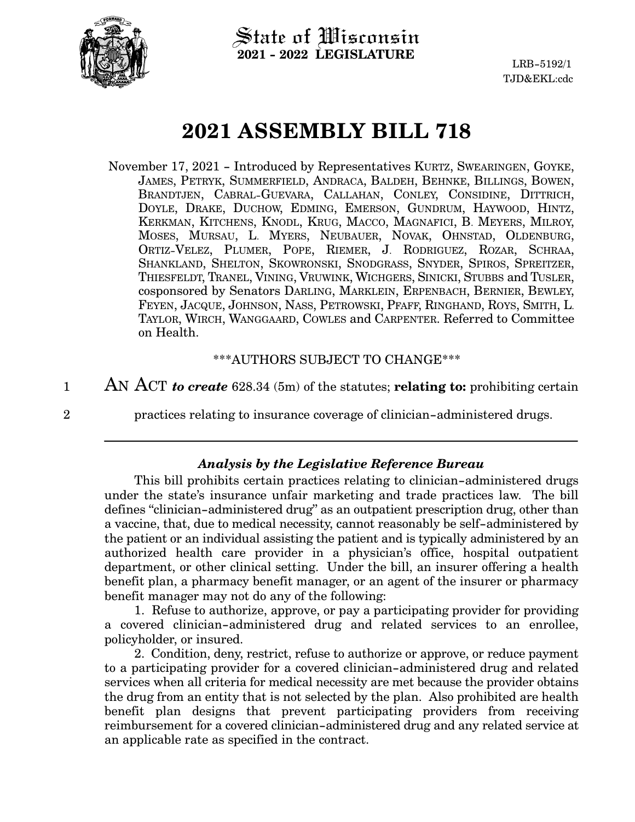

State of Wisconsin **2021 - 2022 LEGISLATURE**

# **2021 ASSEMBLY BILL 718**

November 17, 2021 - Introduced by Representatives KURTZ, SWEARINGEN, GOYKE, JAMES, PETRYK, SUMMERFIELD, ANDRACA, BALDEH, BEHNKE, BILLINGS, BOWEN, BRANDTJEN, CABRAL-GUEVARA, CALLAHAN, CONLEY, CONSIDINE, DITTRICH, DOYLE, DRAKE, DUCHOW, EDMING, EMERSON, GUNDRUM, HAYWOOD, HINTZ, KERKMAN, KITCHENS, KNODL, KRUG, MACCO, MAGNAFICI, B. MEYERS, MILROY, MOSES, MURSAU, L. MYERS, NEUBAUER, NOVAK, OHNSTAD, OLDENBURG, ORTIZ-VELEZ, PLUMER, POPE, RIEMER, J. RODRIGUEZ, ROZAR, SCHRAA, SHANKLAND, SHELTON, SKOWRONSKI, SNODGRASS, SNYDER, SPIROS, SPREITZER, THIESFELDT, TRANEL, VINING, VRUWINK, WICHGERS, SINICKI, STUBBS and TUSLER, cosponsored by Senators DARLING, MARKLEIN, ERPENBACH, BERNIER, BEWLEY, FEYEN, JACQUE, JOHNSON, NASS, PETROWSKI, PFAFF, RINGHAND, ROYS, SMITH, L. TAYLOR, WIRCH, WANGGAARD, COWLES and CARPENTER. Referred to Committee on Health.

#### \*\*\*AUTHORS SUBJECT TO CHANGE\*\*\*

AN ACT *to create* 628.34 (5m) of the statutes; **relating to:** prohibiting certain 1

2

practices relating to insurance coverage of clinician-administered drugs.

# *Analysis by the Legislative Reference Bureau*

This bill prohibits certain practices relating to clinician-administered drugs under the state's insurance unfair marketing and trade practices law. The bill defines "clinician-administered drug" as an outpatient prescription drug, other than a vaccine, that, due to medical necessity, cannot reasonably be self-administered by the patient or an individual assisting the patient and is typically administered by an authorized health care provider in a physician's office, hospital outpatient department, or other clinical setting. Under the bill, an insurer offering a health benefit plan, a pharmacy benefit manager, or an agent of the insurer or pharmacy benefit manager may not do any of the following:

1. Refuse to authorize, approve, or pay a participating provider for providing a covered clinician-administered drug and related services to an enrollee, policyholder, or insured.

2. Condition, deny, restrict, refuse to authorize or approve, or reduce payment to a participating provider for a covered clinician-administered drug and related services when all criteria for medical necessity are met because the provider obtains the drug from an entity that is not selected by the plan. Also prohibited are health benefit plan designs that prevent participating providers from receiving reimbursement for a covered clinician-administered drug and any related service at an applicable rate as specified in the contract.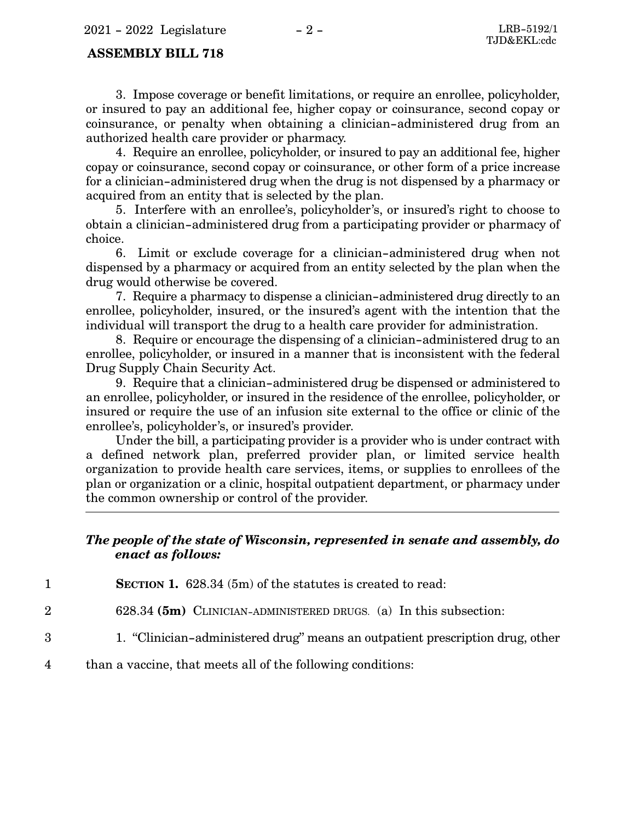#### **ASSEMBLY BILL 718**

3. Impose coverage or benefit limitations, or require an enrollee, policyholder, or insured to pay an additional fee, higher copay or coinsurance, second copay or coinsurance, or penalty when obtaining a clinician-administered drug from an authorized health care provider or pharmacy.

4. Require an enrollee, policyholder, or insured to pay an additional fee, higher copay or coinsurance, second copay or coinsurance, or other form of a price increase for a clinician-administered drug when the drug is not dispensed by a pharmacy or acquired from an entity that is selected by the plan.

5. Interfere with an enrollee's, policyholder's, or insured's right to choose to obtain a clinician-administered drug from a participating provider or pharmacy of choice.

6. Limit or exclude coverage for a clinician-administered drug when not dispensed by a pharmacy or acquired from an entity selected by the plan when the drug would otherwise be covered.

7. Require a pharmacy to dispense a clinician-administered drug directly to an enrollee, policyholder, insured, or the insured's agent with the intention that the individual will transport the drug to a health care provider for administration.

8. Require or encourage the dispensing of a clinician-administered drug to an enrollee, policyholder, or insured in a manner that is inconsistent with the federal Drug Supply Chain Security Act.

9. Require that a clinician-administered drug be dispensed or administered to an enrollee, policyholder, or insured in the residence of the enrollee, policyholder, or insured or require the use of an infusion site external to the office or clinic of the enrollee's, policyholder's, or insured's provider.

Under the bill, a participating provider is a provider who is under contract with a defined network plan, preferred provider plan, or limited service health organization to provide health care services, items, or supplies to enrollees of the plan or organization or a clinic, hospital outpatient department, or pharmacy under the common ownership or control of the provider.

## *The people of the state of Wisconsin, represented in senate and assembly, do enact as follows:*

**SECTION 1.** 628.34 (5m) of the statutes is created to read: 1

- 628.34 **(5m)** CLINICIAN-ADMINISTERED DRUGS. (a) In this subsection: 2
- 1. "Clinician-administered drug" means an outpatient prescription drug, other 3
- than a vaccine, that meets all of the following conditions: 4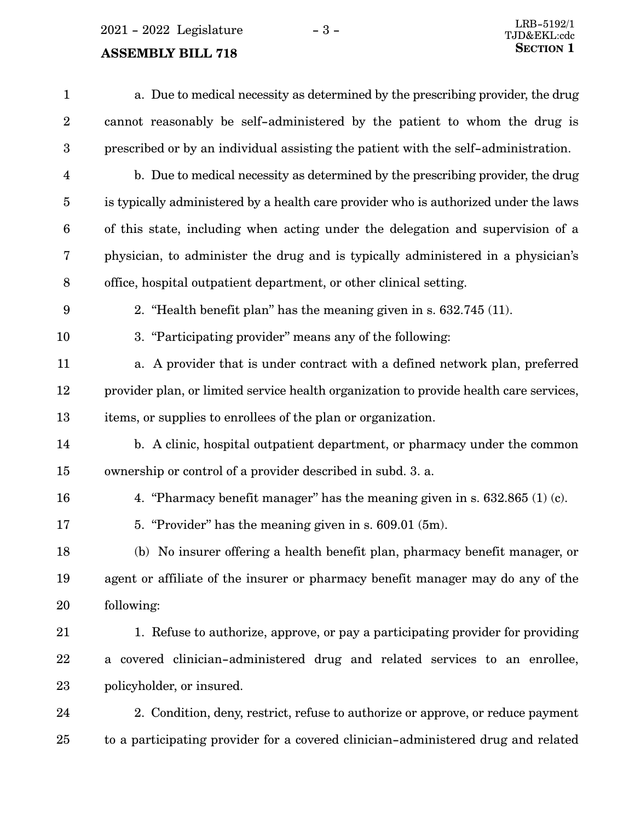2021 - 2022 Legislature - 3 -

# **ASSEMBLY BILL 718**

| $\mathbf{1}$            | a. Due to medical necessity as determined by the prescribing provider, the drug        |
|-------------------------|----------------------------------------------------------------------------------------|
| $\sqrt{2}$              | cannot reasonably be self-administered by the patient to whom the drug is              |
| $\boldsymbol{3}$        | prescribed or by an individual assisting the patient with the self-administration.     |
| $\overline{\mathbf{4}}$ | b. Due to medical necessity as determined by the prescribing provider, the drug        |
| $\overline{5}$          | is typically administered by a health care provider who is authorized under the laws   |
| $6\phantom{1}6$         | of this state, including when acting under the delegation and supervision of a         |
| 7                       | physician, to administer the drug and is typically administered in a physician's       |
| $\, 8$                  | office, hospital outpatient department, or other clinical setting.                     |
| 9                       | 2. "Health benefit plan" has the meaning given in s. 632.745 (11).                     |
| 10                      | 3. "Participating provider" means any of the following:                                |
| 11                      | a. A provider that is under contract with a defined network plan, preferred            |
| 12                      | provider plan, or limited service health organization to provide health care services, |
| 13                      | items, or supplies to enrollees of the plan or organization.                           |
| 14                      | b. A clinic, hospital outpatient department, or pharmacy under the common              |
| 15                      | ownership or control of a provider described in subd. 3. a.                            |
| 16                      | 4. "Pharmacy benefit manager" has the meaning given in s. $632.865$ (1) (c).           |
| 17                      | 5. "Provider" has the meaning given in s. 609.01 (5m).                                 |
| 18                      | (b) No insurer offering a health benefit plan, pharmacy benefit manager, or            |
| 19                      | agent or affiliate of the insurer or pharmacy benefit manager may do any of the        |
| 20                      | following:                                                                             |
| 21                      | 1. Refuse to authorize, approve, or pay a participating provider for providing         |
| 22                      | a covered clinician-administered drug and related services to an enrollee,             |
| 23                      | policyholder, or insured.                                                              |
| 24                      | 2. Condition, deny, restrict, refuse to authorize or approve, or reduce payment        |
| 25                      | to a participating provider for a covered clinician-administered drug and related      |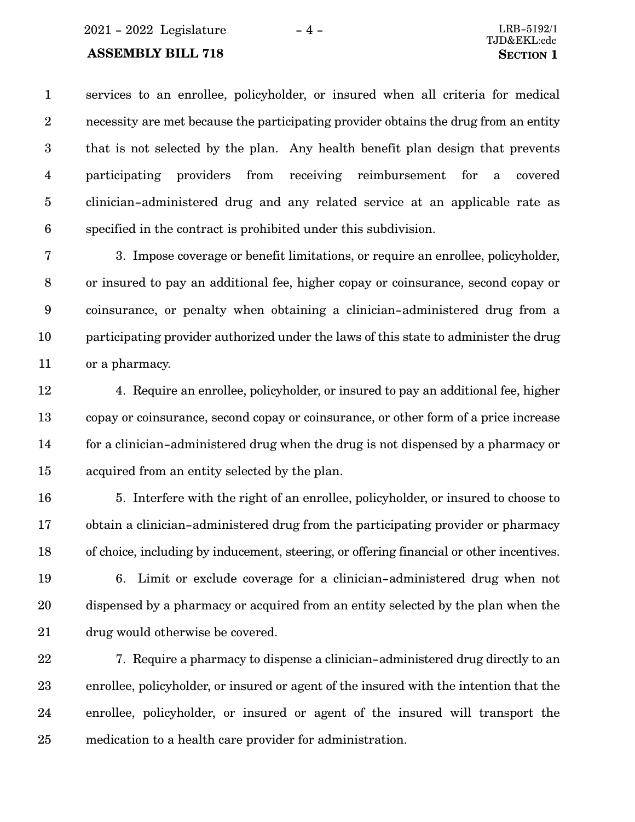#### **ASSEMBLY BILL 718 SECTION** 1

services to an enrollee, policyholder, or insured when all criteria for medical necessity are met because the participating provider obtains the drug from an entity that is not selected by the plan. Any health benefit plan design that prevents participating providers from receiving reimbursement for a covered clinician-administered drug and any related service at an applicable rate as specified in the contract is prohibited under this subdivision. 1 2 3 4 5 6

3. Impose coverage or benefit limitations, or require an enrollee, policyholder, or insured to pay an additional fee, higher copay or coinsurance, second copay or coinsurance, or penalty when obtaining a clinician-administered drug from a participating provider authorized under the laws of this state to administer the drug or a pharmacy. 7 8 9 10 11

4. Require an enrollee, policyholder, or insured to pay an additional fee, higher copay or coinsurance, second copay or coinsurance, or other form of a price increase for a clinician-administered drug when the drug is not dispensed by a pharmacy or acquired from an entity selected by the plan. 12 13 14 15

5. Interfere with the right of an enrollee, policyholder, or insured to choose to obtain a clinician-administered drug from the participating provider or pharmacy of choice, including by inducement, steering, or offering financial or other incentives. 16 17 18

6. Limit or exclude coverage for a clinician-administered drug when not dispensed by a pharmacy or acquired from an entity selected by the plan when the drug would otherwise be covered. 19 20 21

7. Require a pharmacy to dispense a clinician-administered drug directly to an enrollee, policyholder, or insured or agent of the insured with the intention that the enrollee, policyholder, or insured or agent of the insured will transport the medication to a health care provider for administration. 22 23 24 25